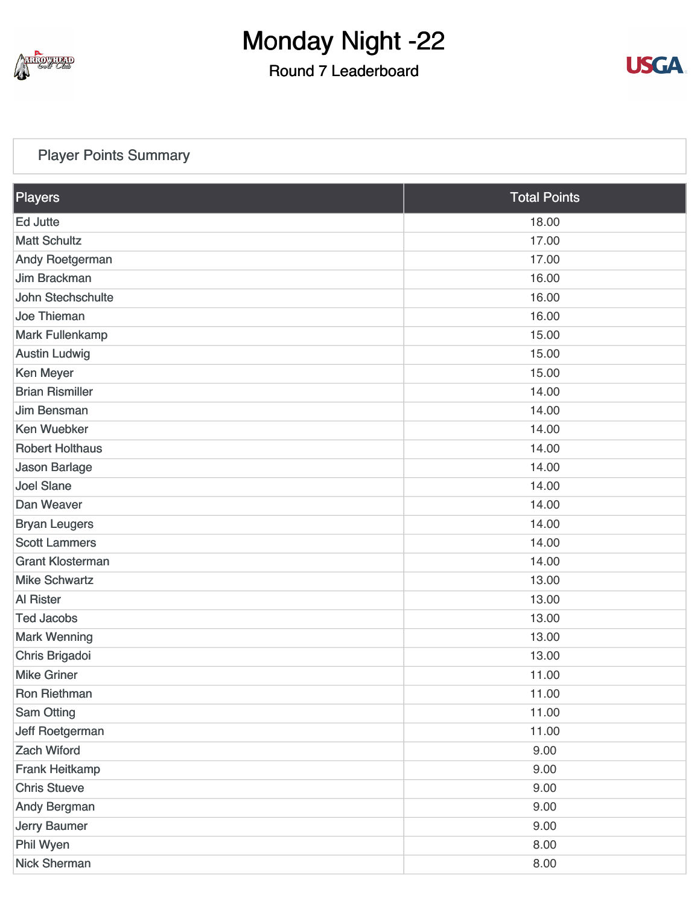

Round 7 Leaderboard



### [Player Points Summary](https://static.golfgenius.com/v2tournaments/total_points?league_id=8103114973338674340&round_id=8103116685017359552)

| <b>Players</b>          | <b>Total Points</b> |
|-------------------------|---------------------|
| <b>Ed Jutte</b>         | 18.00               |
| <b>Matt Schultz</b>     | 17.00               |
| <b>Andy Roetgerman</b>  | 17.00               |
| Jim Brackman            | 16.00               |
| John Stechschulte       | 16.00               |
| <b>Joe Thieman</b>      | 16.00               |
| <b>Mark Fullenkamp</b>  | 15.00               |
| <b>Austin Ludwig</b>    | 15.00               |
| Ken Meyer               | 15.00               |
| <b>Brian Rismiller</b>  | 14.00               |
| <b>Jim Bensman</b>      | 14.00               |
| <b>Ken Wuebker</b>      | 14.00               |
| <b>Robert Holthaus</b>  | 14.00               |
| <b>Jason Barlage</b>    | 14.00               |
| <b>Joel Slane</b>       | 14.00               |
| Dan Weaver              | 14.00               |
| <b>Bryan Leugers</b>    | 14.00               |
| <b>Scott Lammers</b>    | 14.00               |
| <b>Grant Klosterman</b> | 14.00               |
| <b>Mike Schwartz</b>    | 13.00               |
| <b>Al Rister</b>        | 13.00               |
| <b>Ted Jacobs</b>       | 13.00               |
| <b>Mark Wenning</b>     | 13.00               |
| Chris Brigadoi          | 13.00               |
| <b>Mike Griner</b>      | 11.00               |
| Ron Riethman            | 11.00               |
| <b>Sam Otting</b>       | 11.00               |
| Jeff Roetgerman         | 11.00               |
| <b>Zach Wiford</b>      | 9.00                |
| Frank Heitkamp          | 9.00                |
| <b>Chris Stueve</b>     | 9.00                |
| Andy Bergman            | 9.00                |
| <b>Jerry Baumer</b>     | 9.00                |
| Phil Wyen               | 8.00                |
| <b>Nick Sherman</b>     | 8.00                |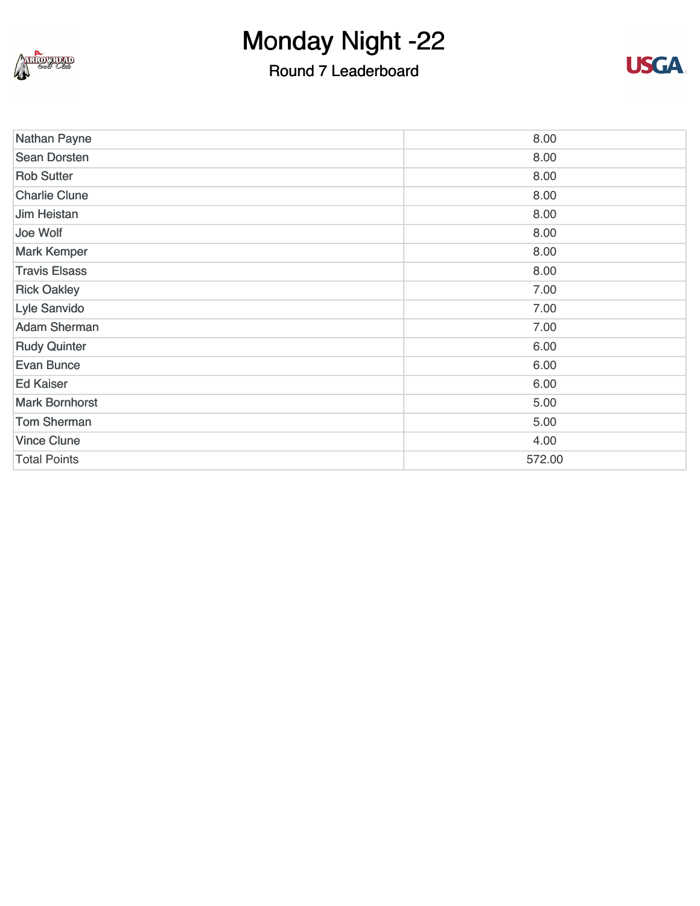

## Round 7 Leaderboard



| Nathan Payne          | 8.00   |
|-----------------------|--------|
| <b>Sean Dorsten</b>   | 8.00   |
| <b>Rob Sutter</b>     | 8.00   |
| <b>Charlie Clune</b>  | 8.00   |
| <b>Jim Heistan</b>    | 8.00   |
| Joe Wolf              | 8.00   |
| <b>Mark Kemper</b>    | 8.00   |
| <b>Travis Elsass</b>  | 8.00   |
| <b>Rick Oakley</b>    | 7.00   |
| Lyle Sanvido          | 7.00   |
| <b>Adam Sherman</b>   | 7.00   |
| <b>Rudy Quinter</b>   | 6.00   |
| <b>Evan Bunce</b>     | 6.00   |
| <b>Ed Kaiser</b>      | 6.00   |
| <b>Mark Bornhorst</b> | 5.00   |
| <b>Tom Sherman</b>    | 5.00   |
| <b>Vince Clune</b>    | 4.00   |
| <b>Total Points</b>   | 572.00 |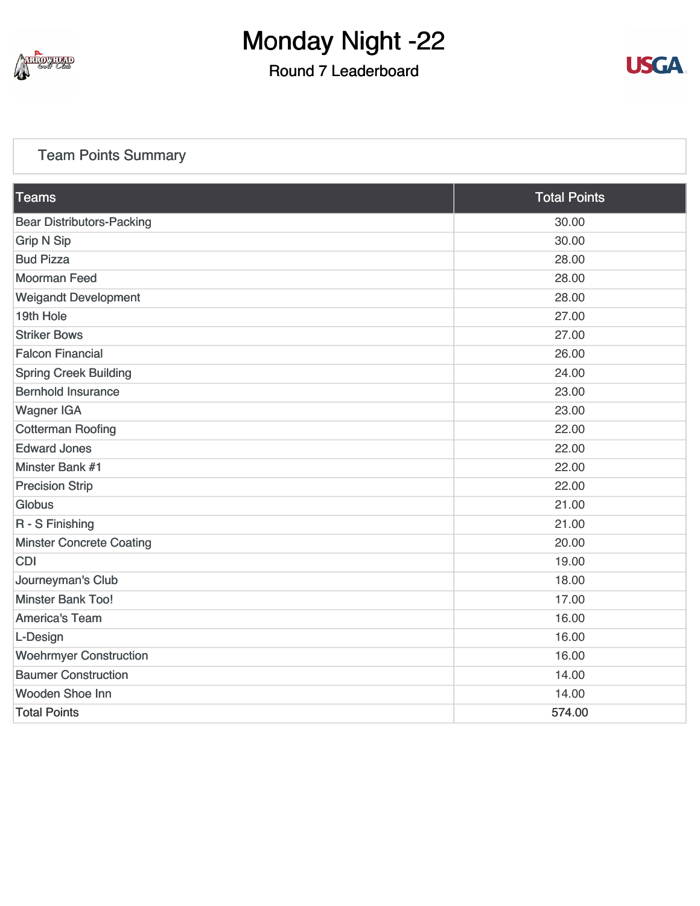

### Round 7 Leaderboard



### [Team Points Summary](https://static.golfgenius.com/v2tournaments/team_points?league_id=8103114973338674340&round_id=8103116685017359552)

| Teams                            | <b>Total Points</b> |
|----------------------------------|---------------------|
| <b>Bear Distributors-Packing</b> | 30.00               |
| <b>Grip N Sip</b>                | 30.00               |
| <b>Bud Pizza</b>                 | 28.00               |
| <b>Moorman Feed</b>              | 28.00               |
| <b>Weigandt Development</b>      | 28.00               |
| 19th Hole                        | 27.00               |
| <b>Striker Bows</b>              | 27.00               |
| <b>Falcon Financial</b>          | 26.00               |
| <b>Spring Creek Building</b>     | 24.00               |
| <b>Bernhold Insurance</b>        | 23.00               |
| <b>Wagner IGA</b>                | 23.00               |
| <b>Cotterman Roofing</b>         | 22.00               |
| <b>Edward Jones</b>              | 22.00               |
| Minster Bank #1                  | 22.00               |
| <b>Precision Strip</b>           | 22.00               |
| Globus                           | 21.00               |
| R - S Finishing                  | 21.00               |
| <b>Minster Concrete Coating</b>  | 20.00               |
| <b>CDI</b>                       | 19.00               |
| Journeyman's Club                | 18.00               |
| <b>Minster Bank Too!</b>         | 17.00               |
| <b>America's Team</b>            | 16.00               |
| L-Design                         | 16.00               |
| <b>Woehrmyer Construction</b>    | 16.00               |
| <b>Baumer Construction</b>       | 14.00               |
| Wooden Shoe Inn                  | 14.00               |
| <b>Total Points</b>              | 574.00              |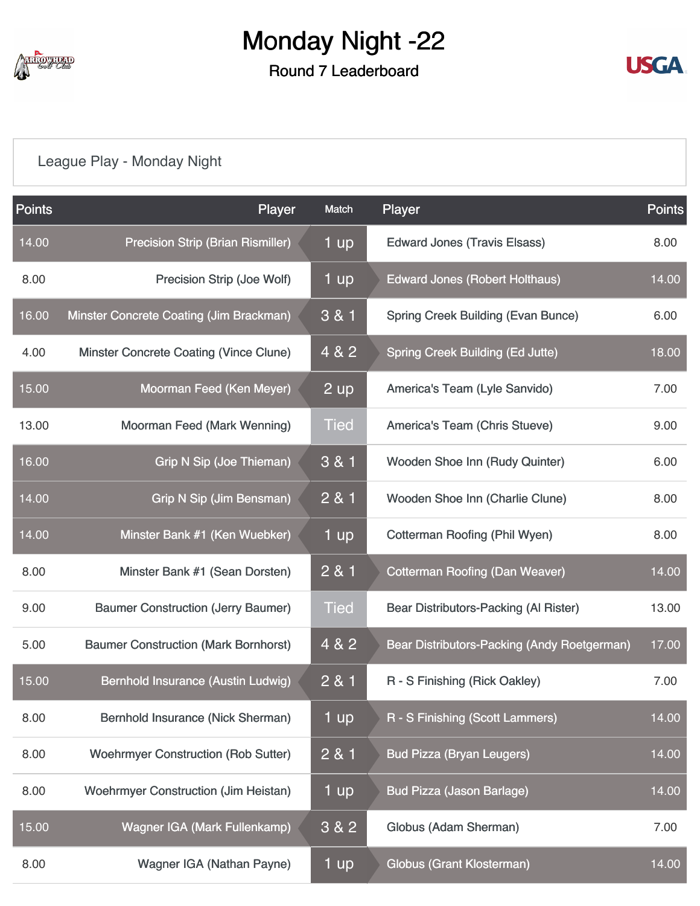

### Round 7 Leaderboard



### [League Play - Monday Night](https://static.golfgenius.com/v2tournaments/8103117053411468296?called_from=&round_index=7)

| <b>Points</b> | Player                                      | Match           | Player                                      | <b>Points</b> |
|---------------|---------------------------------------------|-----------------|---------------------------------------------|---------------|
| 14.00         | <b>Precision Strip (Brian Rismiller)</b>    | 1 up            | <b>Edward Jones (Travis Elsass)</b>         | 8.00          |
| 8.00          | Precision Strip (Joe Wolf)                  | 1 up            | <b>Edward Jones (Robert Holthaus)</b>       | 14.00         |
| 16.00         | Minster Concrete Coating (Jim Brackman)     | 3 & 1           | <b>Spring Creek Building (Evan Bunce)</b>   | 6.00          |
| 4.00          | Minster Concrete Coating (Vince Clune)      | 4 & 2           | <b>Spring Creek Building (Ed Jutte)</b>     | 18.00         |
| 15.00         | Moorman Feed (Ken Meyer)                    | $2 \mathsf{up}$ | America's Team (Lyle Sanvido)               | 7.00          |
| 13.00         | Moorman Feed (Mark Wenning)                 | <b>Tied</b>     | <b>America's Team (Chris Stueve)</b>        | 9.00          |
| 16.00         | Grip N Sip (Joe Thieman)                    | 3 & 1           | Wooden Shoe Inn (Rudy Quinter)              | 6.00          |
| 14.00         | <b>Grip N Sip (Jim Bensman)</b>             | 2 & 1           | Wooden Shoe Inn (Charlie Clune)             | 8.00          |
| 14.00         | Minster Bank #1 (Ken Wuebker)               | 1 up            | Cotterman Roofing (Phil Wyen)               | 8.00          |
| 8.00          | Minster Bank #1 (Sean Dorsten)              | 2 & 1           | <b>Cotterman Roofing (Dan Weaver)</b>       | 14.00         |
| 9.00          | <b>Baumer Construction (Jerry Baumer)</b>   | <b>Tied</b>     | Bear Distributors-Packing (Al Rister)       | 13.00         |
| 5.00          | <b>Baumer Construction (Mark Bornhorst)</b> | 4 & 2           | Bear Distributors-Packing (Andy Roetgerman) | 17.00         |
| 15.00         | Bernhold Insurance (Austin Ludwig)          | 2 & 1           | R - S Finishing (Rick Oakley)               | 7.00          |
| 8.00          | Bernhold Insurance (Nick Sherman)           | 1 up            | R - S Finishing (Scott Lammers)             | 14.00         |
| 8.00          | <b>Woehrmyer Construction (Rob Sutter)</b>  | 2 & 1           | <b>Bud Pizza (Bryan Leugers)</b>            | 14.00         |
| 8.00          | <b>Woehrmyer Construction (Jim Heistan)</b> | 1 up            | <b>Bud Pizza (Jason Barlage)</b>            | 14.00         |
| 15.00         | Wagner IGA (Mark Fullenkamp)                | 3 & 2           | Globus (Adam Sherman)                       | 7.00          |
| 8.00          | Wagner IGA (Nathan Payne)                   | 1 up            | <b>Globus (Grant Klosterman)</b>            | 14.00         |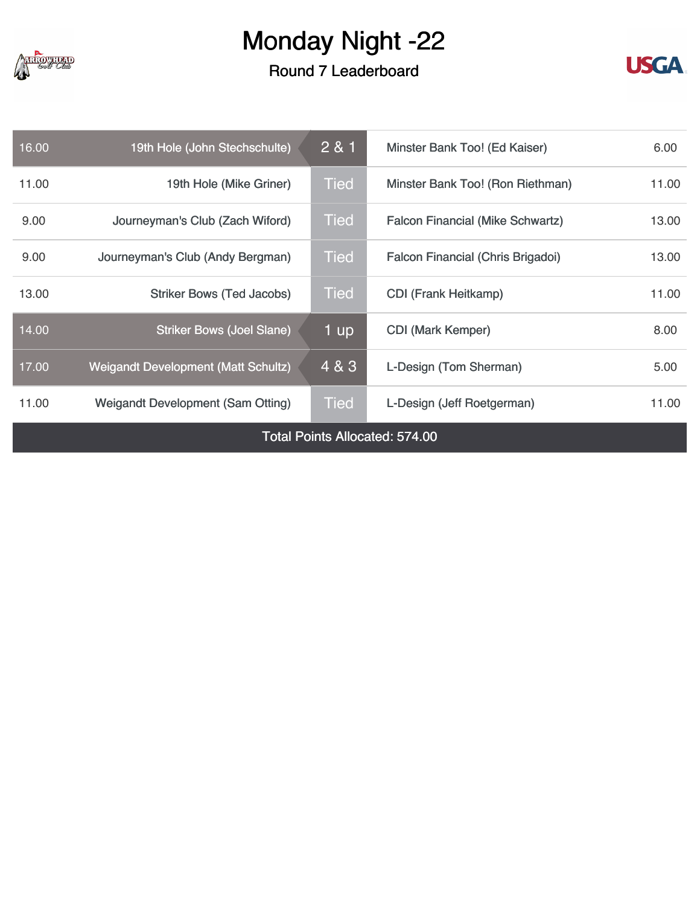

### Round 7 Leaderboard



| 16.00                                 | 19th Hole (John Stechschulte)              | 281         | Minster Bank Too! (Ed Kaiser)           | 6.00  |  |
|---------------------------------------|--------------------------------------------|-------------|-----------------------------------------|-------|--|
| 11.00                                 | 19th Hole (Mike Griner)                    | Tied        | Minster Bank Too! (Ron Riethman)        | 11.00 |  |
| 9.00                                  | Journeyman's Club (Zach Wiford)            | Tied        | <b>Falcon Financial (Mike Schwartz)</b> | 13.00 |  |
| 9.00                                  | Journeyman's Club (Andy Bergman)           | Tied        | Falcon Financial (Chris Brigadoi)       | 13.00 |  |
| 13.00                                 | <b>Striker Bows (Ted Jacobs)</b>           | <b>Tied</b> | <b>CDI</b> (Frank Heitkamp)             | 11.00 |  |
| 14.00                                 | <b>Striker Bows (Joel Slane)</b>           | 1 up        | <b>CDI (Mark Kemper)</b>                | 8.00  |  |
| 17.00                                 | <b>Weigandt Development (Matt Schultz)</b> | 4 & 3       | L-Design (Tom Sherman)                  | 5.00  |  |
| 11.00                                 | <b>Weigandt Development (Sam Otting)</b>   | Tied        | L-Design (Jeff Roetgerman)              | 11.00 |  |
| <b>Total Points Allocated: 574.00</b> |                                            |             |                                         |       |  |